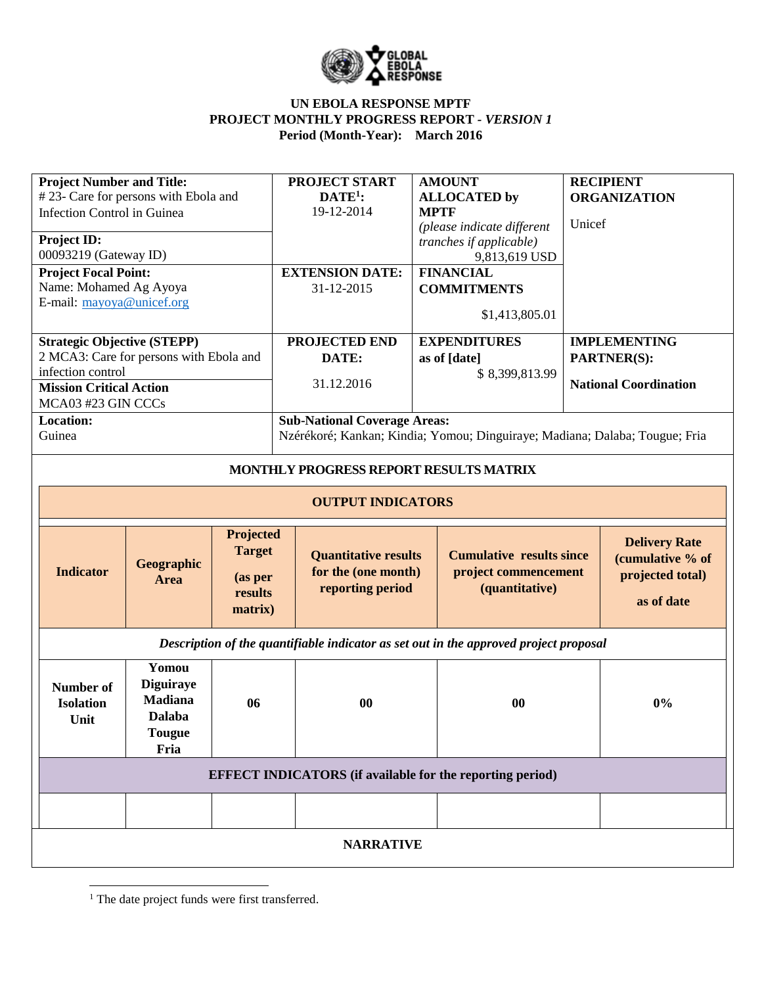

| <b>Project Number and Title:</b>     |                                         |                  |                  | <b>PROJECT START</b>                               | <b>AMOUNT</b>                                                                         |                              | <b>RECIPIENT</b>     |  |
|--------------------------------------|-----------------------------------------|------------------|------------------|----------------------------------------------------|---------------------------------------------------------------------------------------|------------------------------|----------------------|--|
| #23- Care for persons with Ebola and |                                         |                  |                  | $DATE1$ :                                          | <b>ALLOCATED</b> by                                                                   | <b>ORGANIZATION</b>          |                      |  |
| Infection Control in Guinea          |                                         |                  |                  | 19-12-2014                                         | <b>MPTF</b><br>(please indicate different                                             | Unicef                       |                      |  |
| Project ID:                          |                                         |                  |                  |                                                    | tranches if applicable)                                                               |                              |                      |  |
| 00093219 (Gateway ID)                |                                         |                  |                  |                                                    | 9,813,619 USD                                                                         |                              |                      |  |
|                                      | <b>Project Focal Point:</b>             |                  |                  | <b>EXTENSION DATE:</b>                             | <b>FINANCIAL</b>                                                                      |                              |                      |  |
| Name: Mohamed Ag Ayoya               |                                         |                  |                  | 31-12-2015                                         | <b>COMMITMENTS</b>                                                                    |                              |                      |  |
|                                      | E-mail: mayoya@unicef.org               |                  |                  |                                                    |                                                                                       |                              |                      |  |
|                                      |                                         |                  |                  |                                                    | \$1,413,805.01                                                                        |                              |                      |  |
|                                      | <b>Strategic Objective (STEPP)</b>      |                  |                  | PROJECTED END                                      | <b>EXPENDITURES</b>                                                                   | <b>IMPLEMENTING</b>          |                      |  |
|                                      | 2 MCA3: Care for persons with Ebola and |                  |                  | DATE:                                              | as of [date]                                                                          | PARTNER(S):                  |                      |  |
|                                      | infection control                       |                  |                  |                                                    | \$8,399,813.99                                                                        |                              |                      |  |
|                                      | <b>Mission Critical Action</b>          |                  |                  | 31.12.2016                                         |                                                                                       | <b>National Coordination</b> |                      |  |
|                                      | MCA03 #23 GIN CCCs                      |                  |                  |                                                    |                                                                                       |                              |                      |  |
|                                      | Location:<br>Guinea                     |                  |                  | <b>Sub-National Coverage Areas:</b>                |                                                                                       |                              |                      |  |
|                                      |                                         |                  |                  |                                                    | Nzérékoré; Kankan; Kindia; Yomou; Dinguiraye; Madiana; Dalaba; Tougue; Fria           |                              |                      |  |
|                                      |                                         |                  |                  | MONTHLY PROGRESS REPORT RESULTS MATRIX             |                                                                                       |                              |                      |  |
|                                      |                                         |                  |                  |                                                    |                                                                                       |                              |                      |  |
|                                      |                                         |                  |                  | <b>OUTPUT INDICATORS</b>                           |                                                                                       |                              |                      |  |
|                                      |                                         |                  |                  |                                                    |                                                                                       |                              |                      |  |
|                                      |                                         |                  |                  |                                                    |                                                                                       |                              |                      |  |
|                                      |                                         |                  | <b>Projected</b> |                                                    |                                                                                       |                              |                      |  |
|                                      |                                         |                  | <b>Target</b>    |                                                    | <b>Cumulative results since</b>                                                       |                              | <b>Delivery Rate</b> |  |
|                                      | <b>Indicator</b>                        | Geographic       |                  | <b>Quantitative results</b><br>for the (one month) | project commencement                                                                  |                              | (cumulative % of     |  |
|                                      |                                         | Area             | (as per          | reporting period                                   | (quantitative)                                                                        |                              | projected total)     |  |
|                                      |                                         |                  | results          |                                                    |                                                                                       |                              | as of date           |  |
|                                      |                                         |                  | matrix)          |                                                    |                                                                                       |                              |                      |  |
|                                      |                                         |                  |                  |                                                    | Description of the quantifiable indicator as set out in the approved project proposal |                              |                      |  |
|                                      |                                         | Yomou            |                  |                                                    |                                                                                       |                              |                      |  |
|                                      | <b>Number of</b>                        | <b>Diguiraye</b> |                  |                                                    |                                                                                       |                              |                      |  |
|                                      | <b>Isolation</b>                        | <b>Madiana</b>   | 06               | $\bf{00}$                                          | 00                                                                                    |                              | $0\%$                |  |
|                                      | Unit                                    | <b>Dalaba</b>    |                  |                                                    |                                                                                       |                              |                      |  |
|                                      |                                         | <b>Tougue</b>    |                  |                                                    |                                                                                       |                              |                      |  |
|                                      |                                         | Fria             |                  |                                                    |                                                                                       |                              |                      |  |
|                                      |                                         |                  |                  |                                                    | <b>EFFECT INDICATORS</b> (if available for the reporting period)                      |                              |                      |  |
|                                      |                                         |                  |                  |                                                    |                                                                                       |                              |                      |  |
|                                      |                                         |                  |                  | <b>NARRATIVE</b>                                   |                                                                                       |                              |                      |  |

 $\overline{\phantom{a}}$ <sup>1</sup> The date project funds were first transferred.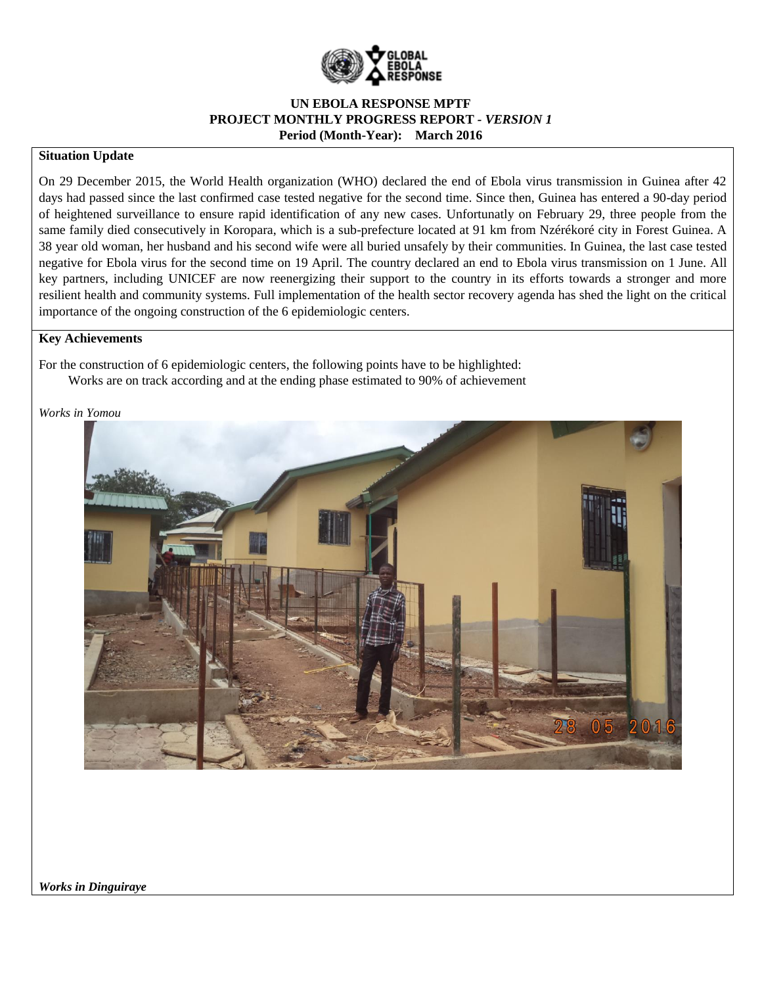

#### **Situation Update**

On 29 December 2015, the World Health organization (WHO) declared the end of Ebola virus transmission in Guinea after 42 days had passed since the last confirmed case tested negative for the second time. Since then, Guinea has entered a 90-day period of heightened surveillance to ensure rapid identification of any new cases. Unfortunatly on February 29, three people from the same family died consecutively in Koropara, which is a sub-prefecture located at 91 km from Nzérékoré city in Forest Guinea. A 38 year old woman, her husband and his second wife were all buried unsafely by their communities. In Guinea, the last case tested negative for Ebola virus for the second time on 19 April. The country declared an end to Ebola virus transmission on 1 June. All key partners, including UNICEF are now reenergizing their support to the country in its efforts towards a stronger and more resilient health and community systems. Full implementation of the health sector recovery agenda has shed the light on the critical importance of the ongoing construction of the 6 epidemiologic centers.

#### **Key Achievements**

For the construction of 6 epidemiologic centers, the following points have to be highlighted: Works are on track according and at the ending phase estimated to 90% of achievement

#### *Works in Yomou*



*Works in Dinguiraye*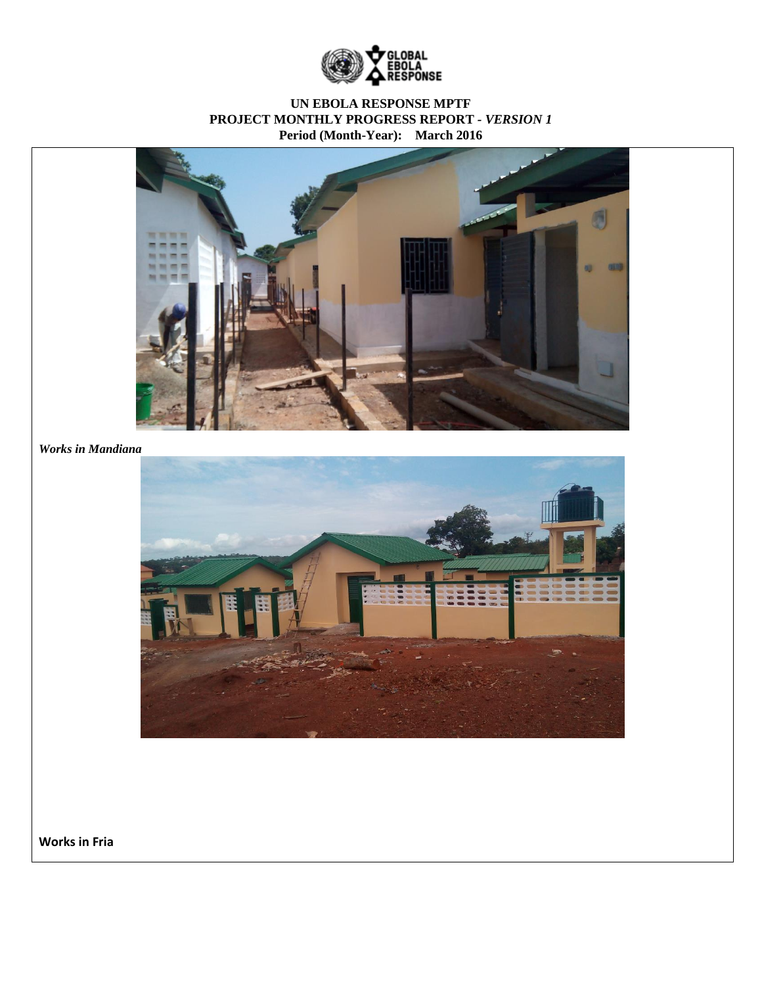



*Works in Mandiana*



**Works in Fria**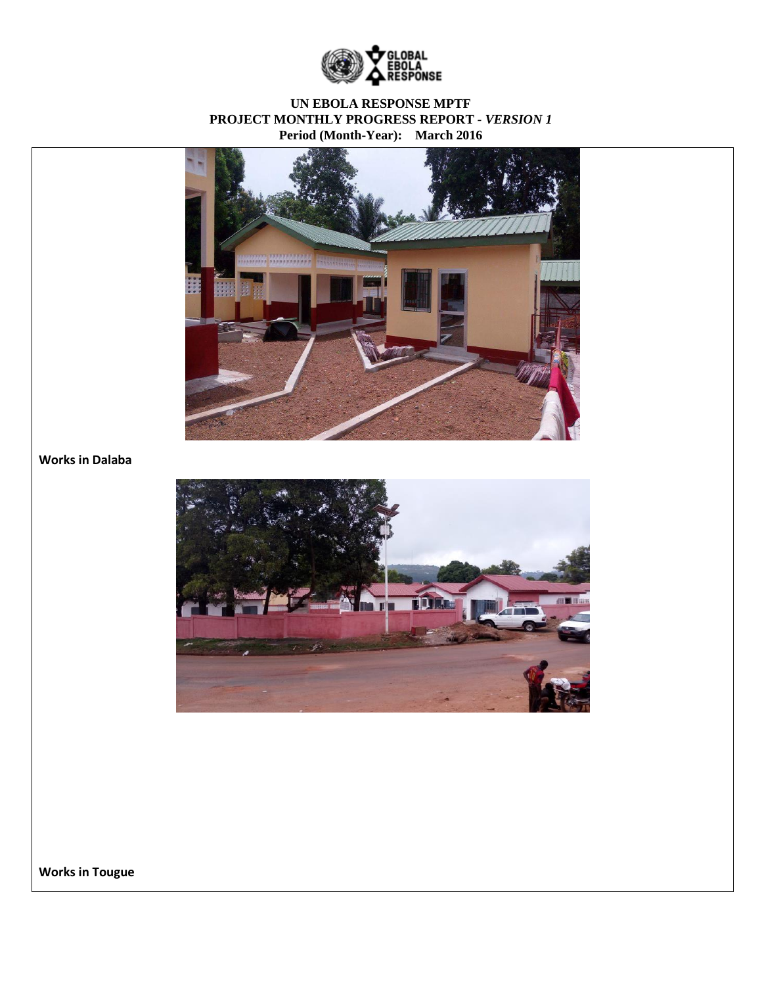



# **Works in Dalaba**



**Works in Tougue**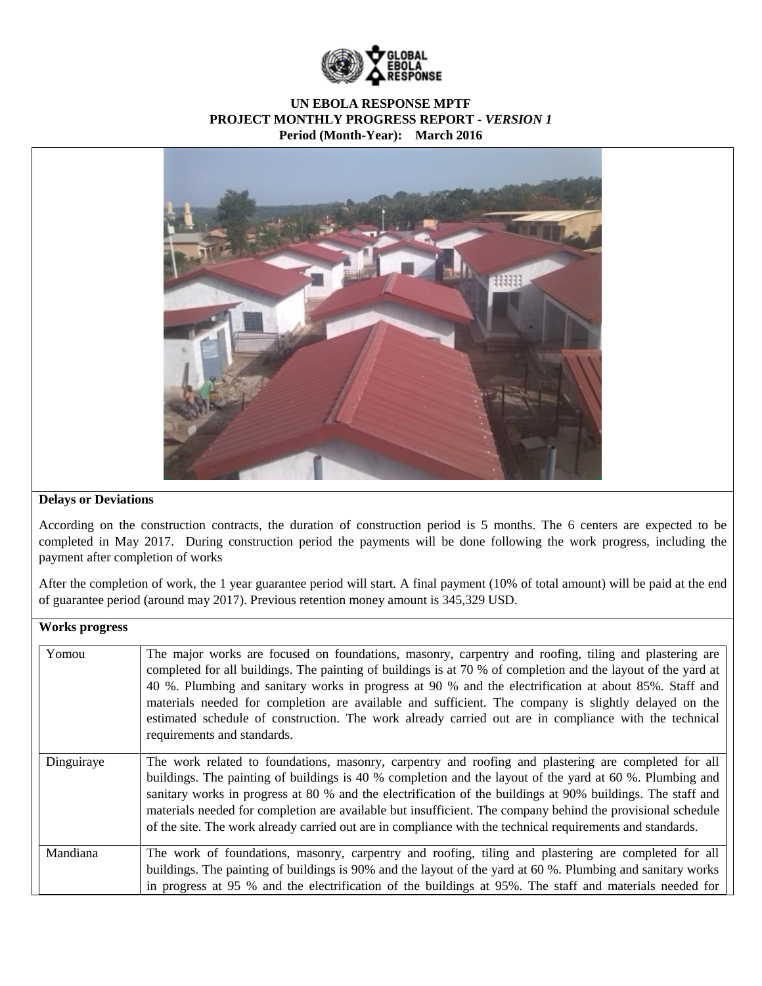



#### **Delays or Deviations**

According on the construction contracts, the duration of construction period is 5 months. The 6 centers are expected to be completed in May 2017. During construction period the payments will be done following the work progress, including the payment after completion of works

After the completion of work, the 1 year guarantee period will start. A final payment (10% of total amount) will be paid at the end of guarantee period (around may 2017). Previous retention money amount is 345,329 USD.

# **Works progress**

| Yomou      | The major works are focused on foundations, masonry, carpentry and roofing, tiling and plastering are<br>completed for all buildings. The painting of buildings is at 70 % of completion and the layout of the yard at<br>40 %. Plumbing and sanitary works in progress at 90 % and the electrification at about 85%. Staff and<br>materials needed for completion are available and sufficient. The company is slightly delayed on the<br>estimated schedule of construction. The work already carried out are in compliance with the technical<br>requirements and standards. |
|------------|---------------------------------------------------------------------------------------------------------------------------------------------------------------------------------------------------------------------------------------------------------------------------------------------------------------------------------------------------------------------------------------------------------------------------------------------------------------------------------------------------------------------------------------------------------------------------------|
| Dinguiraye | The work related to foundations, masonry, carpentry and roofing and plastering are completed for all<br>buildings. The painting of buildings is 40 % completion and the layout of the yard at 60 %. Plumbing and<br>sanitary works in progress at 80 % and the electrification of the buildings at 90% buildings. The staff and<br>materials needed for completion are available but insufficient. The company behind the provisional schedule<br>of the site. The work already carried out are in compliance with the technical requirements and standards.                    |
| Mandiana   | The work of foundations, masonry, carpentry and roofing, tiling and plastering are completed for all<br>buildings. The painting of buildings is 90% and the layout of the yard at 60 %. Plumbing and sanitary works<br>in progress at 95 % and the electrification of the buildings at 95%. The staff and materials needed for                                                                                                                                                                                                                                                  |